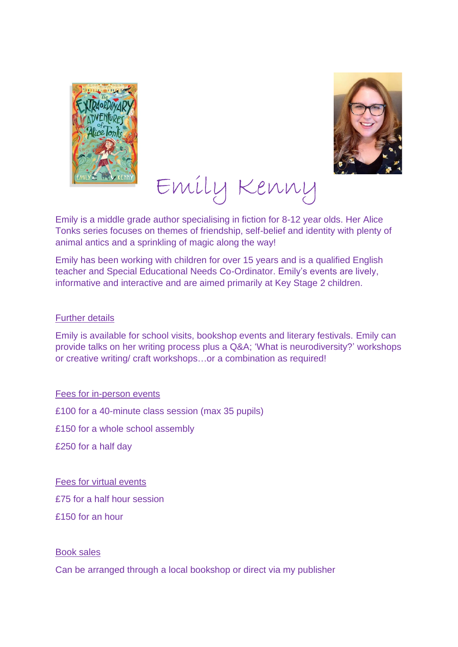



# Emily Kenny

Emily is a middle grade author specialising in fiction for 8-12 year olds. Her Alice Tonks series focuses on themes of friendship, self-belief and identity with plenty of animal antics and a sprinkling of magic along the way!

Emily has been working with children for over 15 years and is a qualified English teacher and Special Educational Needs Co-Ordinator. Emily's events are lively, informative and interactive and are aimed primarily at Key Stage 2 children.

#### Further details

Emily is available for school visits, bookshop events and literary festivals. Emily can provide talks on her writing process plus a Q&A; 'What is neurodiversity?' workshops or creative writing/ craft workshops…or a combination as required!

Fees for in-person events

£100 for a 40-minute class session (max 35 pupils)

£150 for a whole school assembly

£250 for a half day

Fees for virtual events £75 for a half hour session £150 for an hour

#### Book sales

Can be arranged through a local bookshop or direct via my publisher